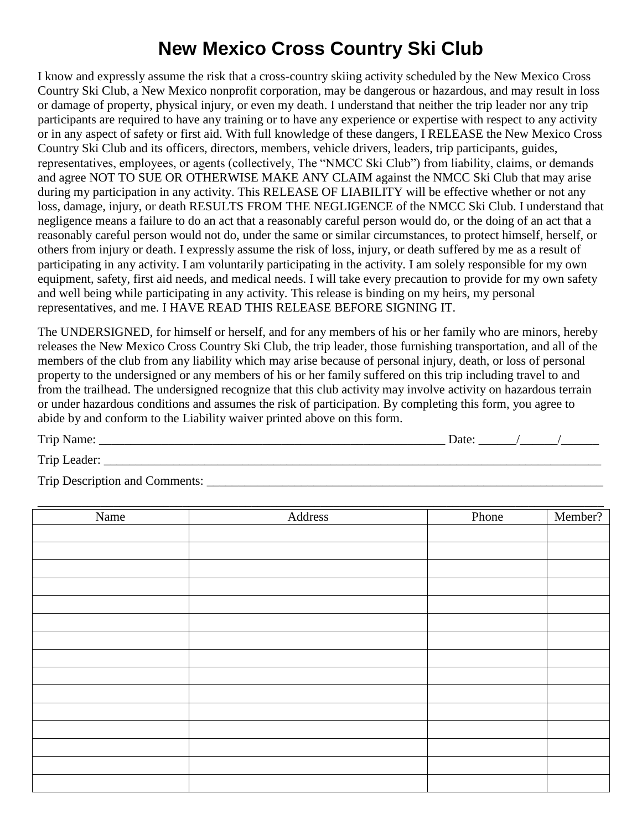# **New Mexico Cross Country Ski Club**

I know and expressly assume the risk that a cross-country skiing activity scheduled by the New Mexico Cross Country Ski Club, a New Mexico nonprofit corporation, may be dangerous or hazardous, and may result in loss or damage of property, physical injury, or even my death. I understand that neither the trip leader nor any trip participants are required to have any training or to have any experience or expertise with respect to any activity or in any aspect of safety or first aid. With full knowledge of these dangers, I RELEASE the New Mexico Cross Country Ski Club and its officers, directors, members, vehicle drivers, leaders, trip participants, guides, representatives, employees, or agents (collectively, The "NMCC Ski Club") from liability, claims, or demands and agree NOT TO SUE OR OTHERWISE MAKE ANY CLAIM against the NMCC Ski Club that may arise during my participation in any activity. This RELEASE OF LIABILITY will be effective whether or not any loss, damage, injury, or death RESULTS FROM THE NEGLIGENCE of the NMCC Ski Club. I understand that negligence means a failure to do an act that a reasonably careful person would do, or the doing of an act that a reasonably careful person would not do, under the same or similar circumstances, to protect himself, herself, or others from injury or death. I expressly assume the risk of loss, injury, or death suffered by me as a result of participating in any activity. I am voluntarily participating in the activity. I am solely responsible for my own equipment, safety, first aid needs, and medical needs. I will take every precaution to provide for my own safety and well being while participating in any activity. This release is binding on my heirs, my personal representatives, and me. I HAVE READ THIS RELEASE BEFORE SIGNING IT.

The UNDERSIGNED, for himself or herself, and for any members of his or her family who are minors, hereby releases the New Mexico Cross Country Ski Club, the trip leader, those furnishing transportation, and all of the members of the club from any liability which may arise because of personal injury, death, or loss of personal property to the undersigned or any members of his or her family suffered on this trip including travel to and from the trailhead. The undersigned recognize that this club activity may involve activity on hazardous terrain or under hazardous conditions and assumes the risk of participation. By completing this form, you agree to abide by and conform to the Liability waiver printed above on this form.

| n .                  | 191f                     |  |  |
|----------------------|--------------------------|--|--|
| 1 rip<br>ı ı c<br>__ | $\overline{\phantom{a}}$ |  |  |

Trip Leader: \_\_\_\_\_\_\_\_\_\_\_\_\_\_\_\_\_\_\_\_\_\_\_\_\_\_\_\_\_\_\_\_\_\_\_\_\_\_\_\_\_\_\_\_\_\_\_\_\_\_\_\_\_\_\_\_\_\_\_\_\_\_\_\_\_\_\_\_\_\_\_\_\_\_\_\_\_\_\_

Trip Description and Comments:

| Name | Address | Phone | Member? |
|------|---------|-------|---------|
|      |         |       |         |
|      |         |       |         |
|      |         |       |         |
|      |         |       |         |
|      |         |       |         |
|      |         |       |         |
|      |         |       |         |
|      |         |       |         |
|      |         |       |         |
|      |         |       |         |
|      |         |       |         |
|      |         |       |         |
|      |         |       |         |
|      |         |       |         |
|      |         |       |         |
|      |         |       |         |
|      |         |       |         |